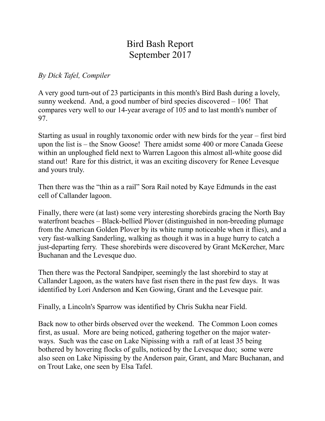## Bird Bash Report September 2017

*By Dick Tafel, Compiler*

A very good turn-out of 23 participants in this month's Bird Bash during a lovely, sunny weekend. And, a good number of bird species discovered – 106! That compares very well to our 14-year average of 105 and to last month's number of 97.

Starting as usual in roughly taxonomic order with new birds for the year – first bird upon the list is – the Snow Goose! There amidst some 400 or more Canada Geese within an unploughed field next to Warren Lagoon this almost all-white goose did stand out! Rare for this district, it was an exciting discovery for Renee Levesque and yours truly.

Then there was the "thin as a rail" Sora Rail noted by Kaye Edmunds in the east cell of Callander lagoon.

Finally, there were (at last) some very interesting shorebirds gracing the North Bay waterfront beaches – Black-bellied Plover (distinguished in non-breeding plumage from the American Golden Plover by its white rump noticeable when it flies), and a very fast-walking Sanderling, walking as though it was in a huge hurry to catch a just-departing ferry. These shorebirds were discovered by Grant McKercher, Marc Buchanan and the Levesque duo.

Then there was the Pectoral Sandpiper, seemingly the last shorebird to stay at Callander Lagoon, as the waters have fast risen there in the past few days. It was identified by Lori Anderson and Ken Gowing, Grant and the Levesque pair.

Finally, a Lincoln's Sparrow was identified by Chris Sukha near Field.

Back now to other birds observed over the weekend. The Common Loon comes first, as usual. More are being noticed, gathering together on the major waterways. Such was the case on Lake Nipissing with a raft of at least 35 being bothered by hovering flocks of gulls, noticed by the Levesque duo; some were also seen on Lake Nipissing by the Anderson pair, Grant, and Marc Buchanan, and on Trout Lake, one seen by Elsa Tafel.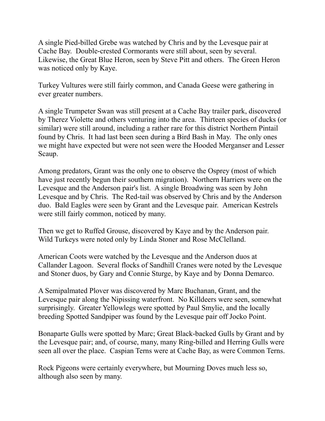A single Pied-billed Grebe was watched by Chris and by the Levesque pair at Cache Bay. Double-crested Cormorants were still about, seen by several. Likewise, the Great Blue Heron, seen by Steve Pitt and others. The Green Heron was noticed only by Kaye.

Turkey Vultures were still fairly common, and Canada Geese were gathering in ever greater numbers.

A single Trumpeter Swan was still present at a Cache Bay trailer park, discovered by Therez Violette and others venturing into the area. Thirteen species of ducks (or similar) were still around, including a rather rare for this district Northern Pintail found by Chris. It had last been seen during a Bird Bash in May. The only ones we might have expected but were not seen were the Hooded Merganser and Lesser Scaup.

Among predators, Grant was the only one to observe the Osprey (most of which have just recently begun their southern migration). Northern Harriers were on the Levesque and the Anderson pair's list. A single Broadwing was seen by John Levesque and by Chris. The Red-tail was observed by Chris and by the Anderson duo. Bald Eagles were seen by Grant and the Levesque pair. American Kestrels were still fairly common, noticed by many.

Then we get to Ruffed Grouse, discovered by Kaye and by the Anderson pair. Wild Turkeys were noted only by Linda Stoner and Rose McClelland.

American Coots were watched by the Levesque and the Anderson duos at Callander Lagoon. Several flocks of Sandhill Cranes were noted by the Levesque and Stoner duos, by Gary and Connie Sturge, by Kaye and by Donna Demarco.

A Semipalmated Plover was discovered by Marc Buchanan, Grant, and the Levesque pair along the Nipissing waterfront. No Killdeers were seen, somewhat surprisingly. Greater Yellowlegs were spotted by Paul Smylie, and the locally breeding Spotted Sandpiper was found by the Levesque pair off Jocko Point.

Bonaparte Gulls were spotted by Marc; Great Black-backed Gulls by Grant and by the Levesque pair; and, of course, many, many Ring-billed and Herring Gulls were seen all over the place. Caspian Terns were at Cache Bay, as were Common Terns.

Rock Pigeons were certainly everywhere, but Mourning Doves much less so, although also seen by many.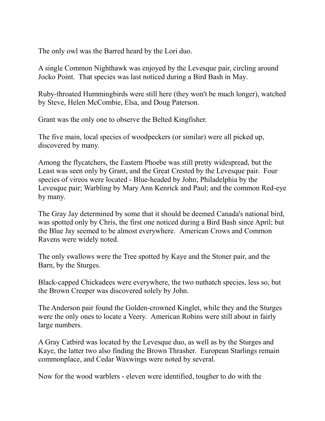The only owl was the Barred heard by the Lori duo.

A single Common Nighthawk was enjoyed by the Levesque pair, circling around Jocko Point. That species was last noticed during a Bird Bash in May.

Ruby-throated Hummingbirds were still here (they won't be much longer), watched by Steve, Helen McCombie, Elsa, and Doug Paterson.

Grant was the only one to observe the Belted Kingfisher.

The five main, local species of woodpeckers (or similar) were all picked up, discovered by many.

Among the flycatchers, the Eastern Phoebe was still pretty widespread, but the Least was seen only by Grant, and the Great Crested by the Levesque pair. Four species of vireos were located - Blue-headed by John; Philadelphia by the Levesque pair; Warbling by Mary Ann Kenrick and Paul; and the common Red-eye by many.

The Gray Jay determined by some that it should be deemed Canada's national bird, was spotted only by Chris, the first one noticed during a Bird Bash since April; but the Blue Jay seemed to be almost everywhere. American Crows and Common Ravens were widely noted.

The only swallows were the Tree spotted by Kaye and the Stoner pair, and the Barn, by the Sturges.

Black-capped Chickadees were everywhere, the two nuthatch species, less so, but the Brown Creeper was discovered solely by John.

The Anderson pair found the Golden-crowned Kinglet, while they and the Sturges were the only ones to locate a Veery. American Robins were still about in fairly large numbers.

A Gray Catbird was located by the Levesque duo, as well as by the Sturges and Kaye, the latter two also finding the Brown Thrasher. European Starlings remain commonplace, and Cedar Waxwings were noted by several.

Now for the wood warblers - eleven were identified, tougher to do with the